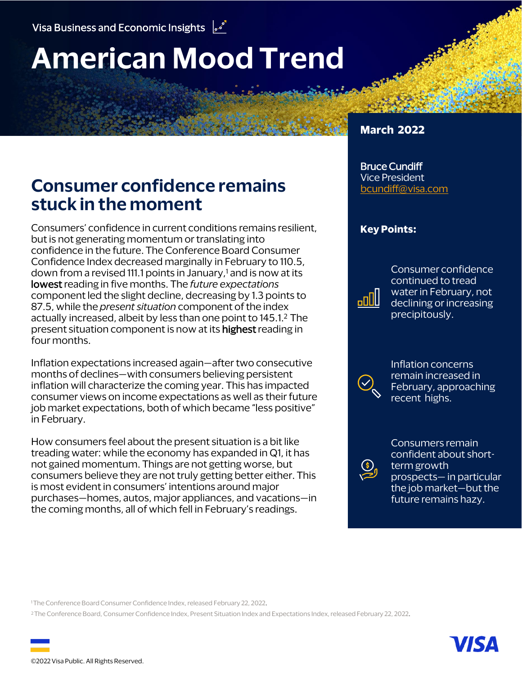# **American Mood Trend**

# **Consumer confidence remains stuck in the moment**

Consumers' confidence in current conditions remains resilient, but is not generating momentum or translating into confidence in the future. The Conference Board Consumer Confidence Index decreased marginally in February to 110.5, down from a revised 111.1 points in January, $1$  and is now at its lowest reading in five months. The *future expectations* component led the slight decline, decreasing by 1.3 points to 87.5, while the *present situation* component of the index actually increased, albeit by less than one point to 145.1.2 The present situation component is now at its **highest** reading in four months.

Inflation expectations increased again—after two consecutive months of declines—with consumers believing persistent inflation will characterize the coming year. This has impacted consumer views on income expectations as well as their future job market expectations, both of which became "less positive" in February.

How consumers feel about the present situation is a bit like treading water: while the economy has expanded in Q1, it has not gained momentum. Things are not getting worse, but consumers believe they are not truly getting better either. This is most evident in consumers' intentions around major purchases—homes, autos, major appliances, and vacations—in the coming months, all of which fell in February's readings.

#### **March 2022**

#### Bruce Cundiff Vice President [bcundiff@visa.com](mailto:bcundiff@visa.com?subject=American%20Mood%20Trend)

#### **Key Points:**

Consumer confidence continued to tread water in February, not declining or increasing precipitously.

Inflation concerns remain increased in February, approaching recent highs.

Consumers remain confident about shortterm growth prospects— in particular the job market—but the future remains hazy.

<sup>1</sup>The Conference Board Consumer Confidence Index, released February 22, 2022.

<sup>2</sup>The Conference Board, Consumer Confidence Index, Present Situation Index and Expectations Index, released February 22, 2022.

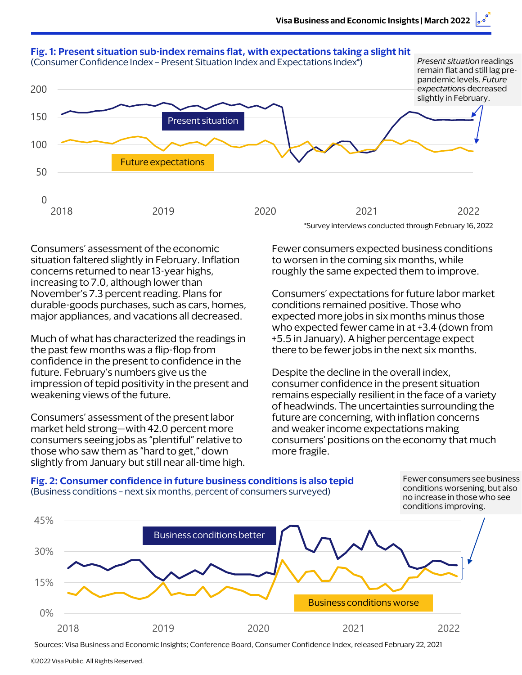

situation faltered slightly in February. Inflation to worsen in the coming six months, while concerns returned to near 13-year highs, roughly the same expected them to improve. increasing to 7.0, although lower than durable-goods purchases, such as cars, homes, conditions remained positive. Those who major appliances, and vacations all decreased. expected more jobs in six months minus those

Much of what has characterized the readings in  $+5.5$  in January). A higher percentage expect the past few months was a flip-flop from there to be fewer jobs in the next six months. confidence in the present to confidence in the future. February's numbers give us the Despite the decline in the overall index, impression of tepid positivity in the present and consumer confidence in the present situation

market held strong—with 42.0 percent more and weaker income expectations making those who saw them as "hard to get," down more fragile. slightly from January but still near all-time high.

Consumers' assessment of the economic Fewer consumers expected business conditions

November's 7.3 percent reading. Plans for Consumers' expectations for future labor market who expected fewer came in at +3.4 (down from

weakening views of the future. The remains especially resilient in the face of a variety of headwinds. The uncertainties surrounding the Consumers' assessment of the present labor future are concerning, with inflation concerns consumers seeing jobs as "plentiful" relative to consumers' positions on the economy that much

#### **Fig. 2: Consumer confidence in future business conditions is also tepid** (Business conditions – next six months, percent of consumers surveyed)

conditions improving. Fewer consumers see business conditions worsening, but also no increase in those who see



Sources: Visa Business and Economic Insights; Conference Board, Consumer Confidence Index, released February 22, 2021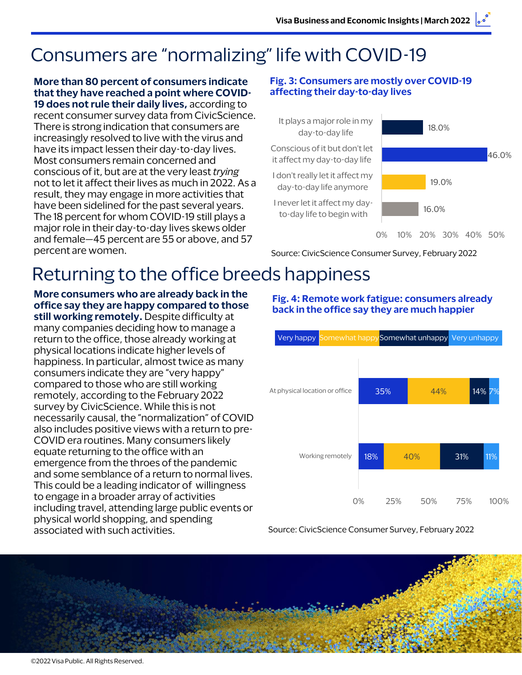# Consumers are "normalizing" life with COVID-19

#### **More than 80 percent of consumers indicate that they have reached a point where COVID-19 does not rule their daily lives,** according to

recent consumer survey data from CivicScience. There is strong indication that consumers are increasingly resolved to live with the virus and have its impact lessen their day-to-day lives. Most consumers remain concerned and conscious of it, but are at the very least *trying*  not to let it affect their lives as much in 2022. As a result, they may engage in more activities that have been sidelined for the past several years. The 18 percent for whom COVID-19 still plays a major role in their day-to-day lives skews older and female—45 percent are 55 or above, and 57 percent are women.

#### **Fig. 3: Consumers are mostly over COVID-19 affecting their day-to-day lives**



0% 10% 20% 30% 40% 50%

46.0%

Source: CivicScience Consumer Survey, February 2022

# Returning to the office breeds happiness

**More consumers who are already back in the office say they are happy compared to those still working remotely.** Despite difficulty at many companies deciding how to manage a return to the office, those already working at physical locations indicate higher levels of happiness. In particular, almost twice as many consumers indicate they are "very happy" compared to those who are still working remotely, according to the February 2022 survey by CivicScience. While this is not necessarily causal, the "normalization" of COVID also includes positive views with a return to pre-COVID era routines. Many consumers likely equate returning to the office with an emergence from the throes of the pandemic and some semblance of a return to normal lives. This could be a leading indicator of willingness to engage in a broader array of activities including travel, attending large public events or physical world shopping, and spending associated with such activities.

# **back in the office say they are much happier** Very happy Somewhat happySomewhat unhappy Very unhappy

**Fig. 4: Remote work fatigue: consumers already** 



Source: CivicScience Consumer Survey, February 2022

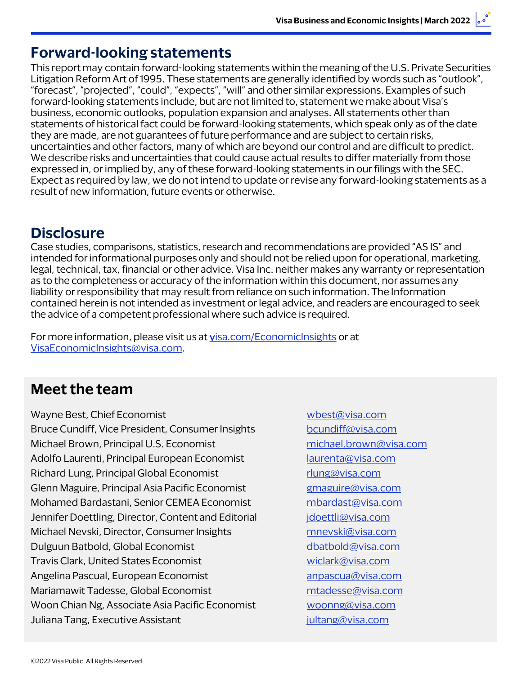### **Forward-looking statements**

This report may contain forward-looking statements within the meaning of the U.S. Private Securities Litigation Reform Art of 1995. These statements are generally identified by words such as "outlook", "forecast", "projected", "could", "expects", "will" and other similar expressions. Examples of such forward-looking statements include, but are not limited to, statement we make about Visa's business, economic outlooks, population expansion and analyses. All statements other than statements of historical fact could be forward-looking statements, which speak only as of the date they are made, are not guarantees of future performance and are subject to certain risks, uncertainties and other factors, many of which are beyond our control and are difficult to predict. We describe risks and uncertainties that could cause actual results to differ materially from those expressed in, or implied by, any of these forward-looking statements in our filings with the SEC. Expect as required by law, we do not intend to update or revise any forward-looking statements as a result of new information, future events or otherwise.

### **Disclosure**

Case studies, comparisons, statistics, research and recommendations are provided "AS IS" and intended for informational purposes only and should not be relied upon for operational, marketing, legal, technical, tax, financial or other advice. Visa Inc. neither makes any warranty or representation as to the completeness or accuracy of the information within this document, nor assumes any liability or responsibility that may result from reliance on such information. The Information contained herein is not intended as investment or legal advice, and readers are encouraged to seek the advice of a competent professional where such advice is required.

For more information, please visit us at [visa.com/EconomicInsights](https://usa.visa.com/partner-with-us/visa-consulting-analytics/leverage-economic-and-business-insights.html) or at [VisaEconomicInsights@visa.com.](mailto:VisaEconomicInsights@visa.com)

## **Meet the team**

Wayne Best, Chief Economist Wayne Best, Chief Economist Bruce Cundiff, Vice President, Consumer Insights [bcundiff@visa.com](mailto:bcundiff@visa.com) Michael Brown, Principal U.S. Economist [michael.brown@visa.com](mailto:michael.brown@visa.com) Adolfo Laurenti, Principal European Economist [laurenta@visa.com](mailto:laurenta@visa.com) Richard Lung, Principal Global Economist richard Lung@visa.com Glenn Maguire, Principal Asia Pacific Economist *[gmaguire@visa.com](mailto:gmaguire@visa.com)* Mohamed Bardastani, Senior CEMEA Economist [mbardast@visa.com](mailto:mbardast@visa.com) Jennifer Doettling, Director, Content and Editorial *[jdoettli@visa.com](mailto:jdoettli@visa.com)* Michael Nevski, Director, Consumer Insights music [mnevski@visa.com](mailto:mnevski@visa.com) Dulguun Batbold, Global Economist [dbatbold@visa.com](mailto:dbatbold@visa.com) Travis Clark, United States Economist [wiclark@visa.com](mailto:wiclark@visa.com) Angelina Pascual, European Economist annual annual annual annual annual annual annual annual annual annual annu Mariamawit Tadesse, Global Economist metal metal [mtadesse@visa.com](mailto:mtadesse@visa.com) Woon Chian Ng, Associate Asia Pacific Economist [woonng@visa.com](mailto:woonng@visa.com) Juliana Tang, Executive Assistant [jultang@visa.com](mailto:jultang@visa.com)